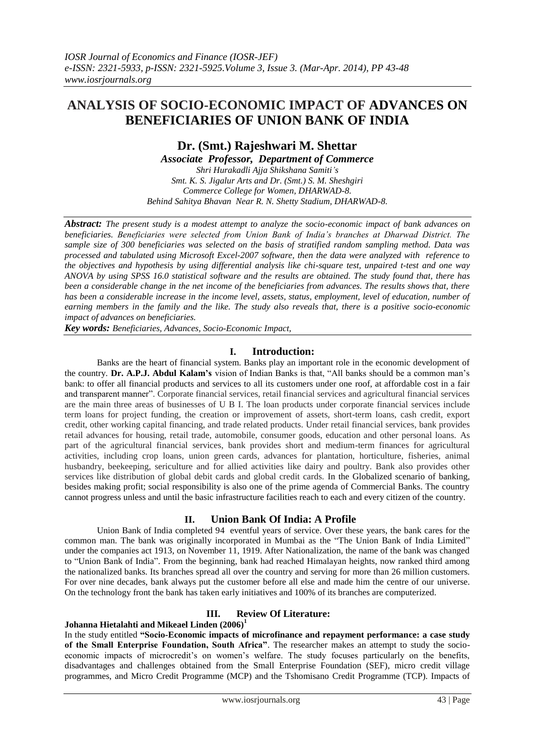# **ANALYSIS OF SOCIO-ECONOMIC IMPACT OF ADVANCES ON BENEFICIARIES OF UNION BANK OF INDIA**

# **Dr. (Smt.) Rajeshwari M. Shettar** *Associate Professor, Department of Commerce Shri Hurakadli Ajja Shikshana Samiti's*

*Smt. K. S. Jigalur Arts and Dr. (Smt.) S. M. Sheshgiri Commerce College for Women, DHARWAD-8. Behind Sahitya Bhavan Near R. N. Shetty Stadium, DHARWAD-8.*

*Abstract: The present study is a modest attempt to analyze the socio-economic impact of bank advances on beneficiaries. Beneficiaries were selected from Union Bank of India's branches at Dharwad District. The sample size of 300 beneficiaries was selected on the basis of stratified random sampling method. Data was processed and tabulated using Microsoft Excel-2007 software, then the data were analyzed with reference to the objectives and hypothesis by using differential analysis like chi-square test, unpaired t-test and one way ANOVA by using SPSS 16.0 statistical software and the results are obtained. The study found that, there has been a considerable change in the net income of the beneficiaries from advances. The results shows that, there has been a considerable increase in the income level, assets, status, employment, level of education, number of earning members in the family and the like. The study also reveals that, there is a positive socio-economic impact of advances on beneficiaries.* 

*Key words: Beneficiaries, Advances, Socio-Economic Impact,*

# **I. Introduction:**

Banks are the heart of financial system. Banks play an important role in the economic development of the country. **Dr. A.P.J. Abdul Kalam's** vision of Indian Banks is that, "All banks should be a common man's bank: to offer all financial products and services to all its customers under one roof, at affordable cost in a fair and transparent manner". Corporate financial services, retail financial services and agricultural financial services are the main three areas of businesses of U B I. The loan products under corporate financial services include term loans for project funding, the creation or improvement of assets, short-term loans, cash credit, export credit, other working capital financing, and trade related products. Under retail financial services, bank provides retail advances for housing, retail trade, automobile, consumer goods, education and other personal loans. As part of the agricultural financial services, bank provides short and medium-term finances for agricultural activities, including crop loans, union green cards, advances for plantation, horticulture, fisheries, animal husbandry, beekeeping, sericulture and for allied activities like dairy and poultry. Bank also provides other services like distribution of global debit cards and global credit cards. In the Globalized scenario of banking, besides making profit; social responsibility is also one of the prime agenda of Commercial Banks. The country cannot progress unless and until the basic infrastructure facilities reach to each and every citizen of the country.

# **II. Union Bank Of India: A Profile**

Union Bank of India completed 94 eventful years of service. Over these years, the bank cares for the common man. The bank was originally incorporated in Mumbai as the "The Union Bank of India Limited" under the companies act 1913, on November 11, 1919. After Nationalization, the name of the bank was changed to "Union Bank of India". From the beginning, bank had reached Himalayan heights, now ranked third among the nationalized banks. Its branches spread all over the country and serving for more than 26 million customers. For over nine decades, bank always put the customer before all else and made him the centre of our universe. On the technology front the bank has taken early initiatives and 100% of its branches are computerized.

# **III. Review Of Literature:**

### **Johanna Hietalahti and Mikeael Linden (2006)<sup>1</sup>**

In the study entitled **"Socio-Economic impacts of microfinance and repayment performance: a case study of the Small Enterprise Foundation, South Africa"**. The researcher makes an attempt to study the socioeconomic impacts of microcredit's on women's welfare. The study focuses particularly on the benefits, disadvantages and challenges obtained from the Small Enterprise Foundation (SEF), micro credit village programmes, and Micro Credit Programme (MCP) and the Tshomisano Credit Programme (TCP). Impacts of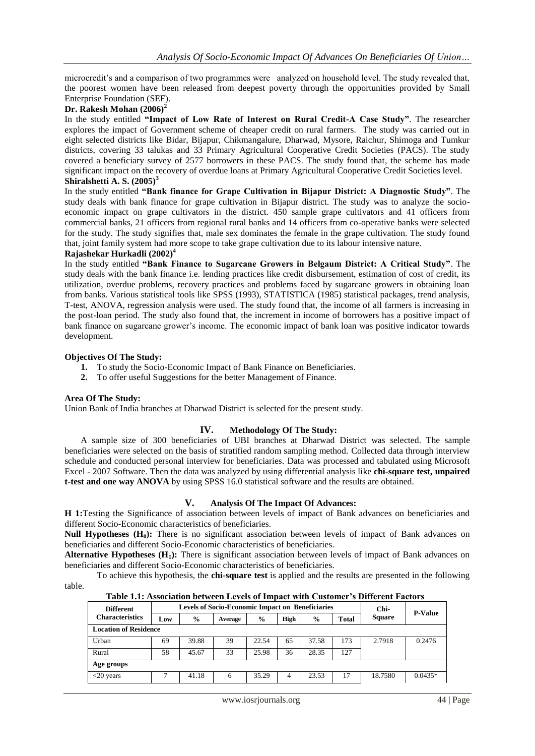microcredit's and a comparison of two programmes were analyzed on household level. The study revealed that, the poorest women have been released from deepest poverty through the opportunities provided by Small Enterprise Foundation (SEF).

### **Dr. Rakesh Mohan (2006)<sup>2</sup>**

In the study entitled **"Impact of Low Rate of Interest on Rural Credit-A Case Study"**. The researcher explores the impact of Government scheme of cheaper credit on rural farmers. The study was carried out in eight selected districts like Bidar, Bijapur, Chikmangalure, Dharwad, Mysore, Raichur, Shimoga and Tumkur districts, covering 33 talukas and 33 Primary Agricultural Cooperative Credit Societies (PACS). The study covered a beneficiary survey of 2577 borrowers in these PACS. The study found that, the scheme has made significant impact on the recovery of overdue loans at Primary Agricultural Cooperative Credit Societies level. **Shiralshetti A. S. (2005)<sup>3</sup>**

In the study entitled **"Bank finance for Grape Cultivation in Bijapur District: A Diagnostic Study"**. The study deals with bank finance for grape cultivation in Bijapur district. The study was to analyze the socioeconomic impact on grape cultivators in the district. 450 sample grape cultivators and 41 officers from commercial banks, 21 officers from regional rural banks and 14 officers from co-operative banks were selected for the study. The study signifies that, male sex dominates the female in the grape cultivation. The study found that, joint family system had more scope to take grape cultivation due to its labour intensive nature.

# **Rajashekar Hurkadli (2002)<sup>4</sup>**

In the study entitled **"Bank Finance to Sugarcane Growers in Belgaum District: A Critical Study"**. The study deals with the bank finance i.e. lending practices like credit disbursement, estimation of cost of credit, its utilization, overdue problems, recovery practices and problems faced by sugarcane growers in obtaining loan from banks. Various statistical tools like SPSS (1993), STATISTICA (1985) statistical packages, trend analysis, T-test, ANOVA, regression analysis were used. The study found that, the income of all farmers is increasing in the post-loan period. The study also found that, the increment in income of borrowers has a positive impact of bank finance on sugarcane grower's income. The economic impact of bank loan was positive indicator towards development.

#### **Objectives Of The Study:**

- **1.** To study the Socio-Economic Impact of Bank Finance on Beneficiaries.
- **2.** To offer useful Suggestions for the better Management of Finance.

### **Area Of The Study:**

Union Bank of India branches at Dharwad District is selected for the present study.

#### **IV. Methodology Of The Study:**

A sample size of 300 beneficiaries of UBI branches at Dharwad District was selected. The sample beneficiaries were selected on the basis of stratified random sampling method. Collected data through interview schedule and conducted personal interview for beneficiaries. Data was processed and tabulated using Microsoft Excel - 2007 Software. Then the data was analyzed by using differential analysis like **chi-square test, unpaired t-test and one way ANOVA** by using SPSS 16.0 statistical software and the results are obtained.

# **V. Analysis Of The Impact Of Advances:**

**H 1:**Testing the Significance of association between levels of impact of Bank advances on beneficiaries and different Socio-Economic characteristics of beneficiaries.

**Null Hypotheses (H<sub>0</sub>):** There is no significant association between levels of impact of Bank advances on beneficiaries and different Socio-Economic characteristics of beneficiaries.

**Alternative Hypotheses (H1):** There is significant association between levels of impact of Bank advances on beneficiaries and different Socio-Economic characteristics of beneficiaries.

To achieve this hypothesis, the **chi-square test** is applied and the results are presented in the following table.

| Table 1.1: Association between Levels of Impact with Customer's Different Factors |             |                                                         |         |               |      |               |              |               |
|-----------------------------------------------------------------------------------|-------------|---------------------------------------------------------|---------|---------------|------|---------------|--------------|---------------|
| <b>Different</b><br><b>Characteristics</b>                                        |             | <b>Levels of Socio-Economic Impact on Beneficiaries</b> | Chi-    |               |      |               |              |               |
|                                                                                   | $\omega$ ow | $\frac{0}{0}$                                           | Average | $\frac{0}{0}$ | High | $\frac{0}{0}$ | <b>Total</b> | <b>Square</b> |

| <b>Characteristics</b>       | Low | $\frac{0}{0}$ | Average | $\frac{0}{0}$ | High | $\frac{0}{0}$ | Total | <b>Square</b> | r-value   |
|------------------------------|-----|---------------|---------|---------------|------|---------------|-------|---------------|-----------|
| <b>Location of Residence</b> |     |               |         |               |      |               |       |               |           |
| Urban                        | 69  | 39.88         | 39      | 22.54         | 65   | 37.58         | 173   | 2.7918        | 0.2476    |
| Rural                        | 58  | 45.67         | 33      | 25.98         | 36   | 28.35         | 127   |               |           |
| Age groups                   |     |               |         |               |      |               |       |               |           |
| $<$ 20 years                 |     | 41.18         | 6       | 35.29         | 4    | 23.53         | 17    | 18.7580       | $0.0435*$ |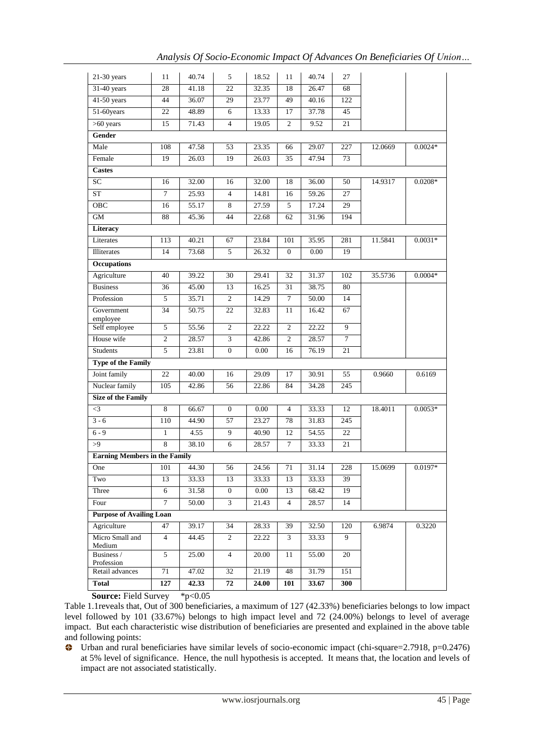*Analysis Of Socio-Economic Impact Of Advances On Beneficiaries Of Union…*

| 31-40 years<br>28<br>41.18<br>22<br>32.35<br>18<br>68<br>26.47<br>41-50 years<br>122<br>44<br>36.07<br>29<br>23.77<br>49<br>40.16<br>51-60years<br>48.89<br>13.33<br>17<br>37.78<br>45<br>22<br>6<br>$>60$ years<br>$\overline{4}$<br>15<br>71.43<br>19.05<br>$\overline{c}$<br>9.52<br>21<br>Gender<br>Male<br>47.58<br>$0.0024*$<br>108<br>53<br>23.35<br>29.07<br>227<br>12.0669<br>66<br>Female<br>19<br>26.03<br>19<br>26.03<br>35<br>47.94<br>73<br><b>Castes</b><br>SC<br>32.00<br>16<br>18<br>50<br>16<br>32.00<br>36.00<br>14.9317<br>$0.0208*$<br>${\cal S}{\cal T}$<br>25.93<br>59.26<br>$\tau$<br>$\overline{4}$<br>14.81<br>16<br>27<br>OBC<br>27.59<br>55.17<br>8<br>5<br>17.24<br>29<br>16<br>GM<br>194<br>88<br>45.36<br>44<br>22.68<br>62<br>31.96<br>Literacy<br>Literates<br>40.21<br>67<br>23.84<br>35.95<br>281<br>11.5841<br>$0.0031*$<br>113<br>101<br><b>Illiterates</b><br>14<br>73.68<br>5<br>26.32<br>$\boldsymbol{0}$<br>0.00<br>19<br><b>Occupations</b><br>Agriculture<br>39.22<br>30<br>29.41<br>32<br>31.37<br>35.5736<br>$0.0004*$<br>40<br>102<br><b>Business</b><br>45.00<br>13<br>38.75<br>80<br>16.25<br>31<br>36<br>35.71<br>$\overline{2}$<br>14.29<br>50.00<br>14<br>Profession<br>7<br>5<br>50.75<br>22<br>32.83<br>16.42<br>67<br>Government<br>34<br>11<br>employee<br>Self employee<br>22.22<br>$\overline{c}$<br>9<br>5<br>55.56<br>2<br>22.22<br>House wife<br>$\sqrt{2}$<br>28.57<br>$\mathfrak{Z}$<br>42.86<br>$\overline{c}$<br>28.57<br>$\tau$<br><b>Students</b><br>$\sqrt{5}$<br>23.81<br>$\boldsymbol{0}$<br>0.00<br>76.19<br>21<br>16<br><b>Type of the Family</b><br>Joint family<br>22<br>40.00<br>16<br>29.09<br>17<br>30.91<br>55<br>0.9660<br>0.6169<br>Nuclear family<br>105<br>42.86<br>56<br>22.86<br>84<br>34.28<br>245<br><b>Size of the Family</b><br>$\,8\,$<br>$\overline{4}$<br>12<br>18.4011<br>$\leq$ 3<br>66.67<br>$\boldsymbol{0}$<br>0.00<br>33.33<br>$0.0053*$<br>$3 - 6$<br>23.27<br>110<br>44.90<br>57<br>78<br>31.83<br>245<br>$6 - 9$<br>4.55<br>9<br>$\mathbf{1}$<br>40.90<br>12<br>54.55<br>22<br>$\overline{8}$<br>38.10<br>>9<br>6<br>28.57<br>$\tau$<br>33.33<br>21<br><b>Earning Members in the Family</b><br>$\overline{71}$<br>One<br>101<br>44.30<br>56<br>31.14<br>228<br>15.0699<br>$0.0197*$<br>24.56<br>Two<br>13<br>33.33<br>13<br>33.33<br>13<br>33.33<br>39<br>Three<br>31.58<br>$\mathbf{0}$<br>$0.00\,$<br>13<br>68.42<br>19<br>6<br>$\overline{7}$<br>50.00<br>$\mathfrak{Z}$<br>14<br>Four<br>21.43<br>$\overline{4}$<br>28.57<br><b>Purpose of Availing Loan</b><br>0.3220<br>Agriculture<br>47<br>39.17<br>34<br>28.33<br>39<br>32.50<br>120<br>6.9874<br>Micro Small and<br>$\overline{4}$<br>44.45<br>$\overline{c}$<br>9<br>22.22<br>3<br>33.33<br>Medium<br>Business /<br>5<br>25.00<br>$\overline{4}$<br>20.00<br>11<br>20<br>55.00<br>Profession<br>Retail advances<br>71<br>47.02<br>32<br>21.19<br>48<br>31.79<br>151<br><b>Total</b><br>127<br>42.33<br>72<br>24.00<br>101<br>33.67<br>300 | $21-30$ years | 11 | 40.74 | 5 | 18.52 | 11 | 40.74 | 27 |  |
|---------------------------------------------------------------------------------------------------------------------------------------------------------------------------------------------------------------------------------------------------------------------------------------------------------------------------------------------------------------------------------------------------------------------------------------------------------------------------------------------------------------------------------------------------------------------------------------------------------------------------------------------------------------------------------------------------------------------------------------------------------------------------------------------------------------------------------------------------------------------------------------------------------------------------------------------------------------------------------------------------------------------------------------------------------------------------------------------------------------------------------------------------------------------------------------------------------------------------------------------------------------------------------------------------------------------------------------------------------------------------------------------------------------------------------------------------------------------------------------------------------------------------------------------------------------------------------------------------------------------------------------------------------------------------------------------------------------------------------------------------------------------------------------------------------------------------------------------------------------------------------------------------------------------------------------------------------------------------------------------------------------------------------------------------------------------------------------------------------------------------------------------------------------------------------------------------------------------------------------------------------------------------------------------------------------------------------------------------------------------------------------------------------------------------------------------------------------------------------------------------------------------------------------------------------------------------------------------------------------------------------------------------------------------------------------------------------------------------------------------------------------------------------------------------------------------------------------------------------------------------------------------------------------------------------------------------------------------------------------------------------|---------------|----|-------|---|-------|----|-------|----|--|
|                                                                                                                                                                                                                                                                                                                                                                                                                                                                                                                                                                                                                                                                                                                                                                                                                                                                                                                                                                                                                                                                                                                                                                                                                                                                                                                                                                                                                                                                                                                                                                                                                                                                                                                                                                                                                                                                                                                                                                                                                                                                                                                                                                                                                                                                                                                                                                                                                                                                                                                                                                                                                                                                                                                                                                                                                                                                                                                                                                                                         |               |    |       |   |       |    |       |    |  |
|                                                                                                                                                                                                                                                                                                                                                                                                                                                                                                                                                                                                                                                                                                                                                                                                                                                                                                                                                                                                                                                                                                                                                                                                                                                                                                                                                                                                                                                                                                                                                                                                                                                                                                                                                                                                                                                                                                                                                                                                                                                                                                                                                                                                                                                                                                                                                                                                                                                                                                                                                                                                                                                                                                                                                                                                                                                                                                                                                                                                         |               |    |       |   |       |    |       |    |  |
|                                                                                                                                                                                                                                                                                                                                                                                                                                                                                                                                                                                                                                                                                                                                                                                                                                                                                                                                                                                                                                                                                                                                                                                                                                                                                                                                                                                                                                                                                                                                                                                                                                                                                                                                                                                                                                                                                                                                                                                                                                                                                                                                                                                                                                                                                                                                                                                                                                                                                                                                                                                                                                                                                                                                                                                                                                                                                                                                                                                                         |               |    |       |   |       |    |       |    |  |
|                                                                                                                                                                                                                                                                                                                                                                                                                                                                                                                                                                                                                                                                                                                                                                                                                                                                                                                                                                                                                                                                                                                                                                                                                                                                                                                                                                                                                                                                                                                                                                                                                                                                                                                                                                                                                                                                                                                                                                                                                                                                                                                                                                                                                                                                                                                                                                                                                                                                                                                                                                                                                                                                                                                                                                                                                                                                                                                                                                                                         |               |    |       |   |       |    |       |    |  |
|                                                                                                                                                                                                                                                                                                                                                                                                                                                                                                                                                                                                                                                                                                                                                                                                                                                                                                                                                                                                                                                                                                                                                                                                                                                                                                                                                                                                                                                                                                                                                                                                                                                                                                                                                                                                                                                                                                                                                                                                                                                                                                                                                                                                                                                                                                                                                                                                                                                                                                                                                                                                                                                                                                                                                                                                                                                                                                                                                                                                         |               |    |       |   |       |    |       |    |  |
|                                                                                                                                                                                                                                                                                                                                                                                                                                                                                                                                                                                                                                                                                                                                                                                                                                                                                                                                                                                                                                                                                                                                                                                                                                                                                                                                                                                                                                                                                                                                                                                                                                                                                                                                                                                                                                                                                                                                                                                                                                                                                                                                                                                                                                                                                                                                                                                                                                                                                                                                                                                                                                                                                                                                                                                                                                                                                                                                                                                                         |               |    |       |   |       |    |       |    |  |
|                                                                                                                                                                                                                                                                                                                                                                                                                                                                                                                                                                                                                                                                                                                                                                                                                                                                                                                                                                                                                                                                                                                                                                                                                                                                                                                                                                                                                                                                                                                                                                                                                                                                                                                                                                                                                                                                                                                                                                                                                                                                                                                                                                                                                                                                                                                                                                                                                                                                                                                                                                                                                                                                                                                                                                                                                                                                                                                                                                                                         |               |    |       |   |       |    |       |    |  |
|                                                                                                                                                                                                                                                                                                                                                                                                                                                                                                                                                                                                                                                                                                                                                                                                                                                                                                                                                                                                                                                                                                                                                                                                                                                                                                                                                                                                                                                                                                                                                                                                                                                                                                                                                                                                                                                                                                                                                                                                                                                                                                                                                                                                                                                                                                                                                                                                                                                                                                                                                                                                                                                                                                                                                                                                                                                                                                                                                                                                         |               |    |       |   |       |    |       |    |  |
|                                                                                                                                                                                                                                                                                                                                                                                                                                                                                                                                                                                                                                                                                                                                                                                                                                                                                                                                                                                                                                                                                                                                                                                                                                                                                                                                                                                                                                                                                                                                                                                                                                                                                                                                                                                                                                                                                                                                                                                                                                                                                                                                                                                                                                                                                                                                                                                                                                                                                                                                                                                                                                                                                                                                                                                                                                                                                                                                                                                                         |               |    |       |   |       |    |       |    |  |
|                                                                                                                                                                                                                                                                                                                                                                                                                                                                                                                                                                                                                                                                                                                                                                                                                                                                                                                                                                                                                                                                                                                                                                                                                                                                                                                                                                                                                                                                                                                                                                                                                                                                                                                                                                                                                                                                                                                                                                                                                                                                                                                                                                                                                                                                                                                                                                                                                                                                                                                                                                                                                                                                                                                                                                                                                                                                                                                                                                                                         |               |    |       |   |       |    |       |    |  |
|                                                                                                                                                                                                                                                                                                                                                                                                                                                                                                                                                                                                                                                                                                                                                                                                                                                                                                                                                                                                                                                                                                                                                                                                                                                                                                                                                                                                                                                                                                                                                                                                                                                                                                                                                                                                                                                                                                                                                                                                                                                                                                                                                                                                                                                                                                                                                                                                                                                                                                                                                                                                                                                                                                                                                                                                                                                                                                                                                                                                         |               |    |       |   |       |    |       |    |  |
|                                                                                                                                                                                                                                                                                                                                                                                                                                                                                                                                                                                                                                                                                                                                                                                                                                                                                                                                                                                                                                                                                                                                                                                                                                                                                                                                                                                                                                                                                                                                                                                                                                                                                                                                                                                                                                                                                                                                                                                                                                                                                                                                                                                                                                                                                                                                                                                                                                                                                                                                                                                                                                                                                                                                                                                                                                                                                                                                                                                                         |               |    |       |   |       |    |       |    |  |
|                                                                                                                                                                                                                                                                                                                                                                                                                                                                                                                                                                                                                                                                                                                                                                                                                                                                                                                                                                                                                                                                                                                                                                                                                                                                                                                                                                                                                                                                                                                                                                                                                                                                                                                                                                                                                                                                                                                                                                                                                                                                                                                                                                                                                                                                                                                                                                                                                                                                                                                                                                                                                                                                                                                                                                                                                                                                                                                                                                                                         |               |    |       |   |       |    |       |    |  |
|                                                                                                                                                                                                                                                                                                                                                                                                                                                                                                                                                                                                                                                                                                                                                                                                                                                                                                                                                                                                                                                                                                                                                                                                                                                                                                                                                                                                                                                                                                                                                                                                                                                                                                                                                                                                                                                                                                                                                                                                                                                                                                                                                                                                                                                                                                                                                                                                                                                                                                                                                                                                                                                                                                                                                                                                                                                                                                                                                                                                         |               |    |       |   |       |    |       |    |  |
|                                                                                                                                                                                                                                                                                                                                                                                                                                                                                                                                                                                                                                                                                                                                                                                                                                                                                                                                                                                                                                                                                                                                                                                                                                                                                                                                                                                                                                                                                                                                                                                                                                                                                                                                                                                                                                                                                                                                                                                                                                                                                                                                                                                                                                                                                                                                                                                                                                                                                                                                                                                                                                                                                                                                                                                                                                                                                                                                                                                                         |               |    |       |   |       |    |       |    |  |
|                                                                                                                                                                                                                                                                                                                                                                                                                                                                                                                                                                                                                                                                                                                                                                                                                                                                                                                                                                                                                                                                                                                                                                                                                                                                                                                                                                                                                                                                                                                                                                                                                                                                                                                                                                                                                                                                                                                                                                                                                                                                                                                                                                                                                                                                                                                                                                                                                                                                                                                                                                                                                                                                                                                                                                                                                                                                                                                                                                                                         |               |    |       |   |       |    |       |    |  |
|                                                                                                                                                                                                                                                                                                                                                                                                                                                                                                                                                                                                                                                                                                                                                                                                                                                                                                                                                                                                                                                                                                                                                                                                                                                                                                                                                                                                                                                                                                                                                                                                                                                                                                                                                                                                                                                                                                                                                                                                                                                                                                                                                                                                                                                                                                                                                                                                                                                                                                                                                                                                                                                                                                                                                                                                                                                                                                                                                                                                         |               |    |       |   |       |    |       |    |  |
|                                                                                                                                                                                                                                                                                                                                                                                                                                                                                                                                                                                                                                                                                                                                                                                                                                                                                                                                                                                                                                                                                                                                                                                                                                                                                                                                                                                                                                                                                                                                                                                                                                                                                                                                                                                                                                                                                                                                                                                                                                                                                                                                                                                                                                                                                                                                                                                                                                                                                                                                                                                                                                                                                                                                                                                                                                                                                                                                                                                                         |               |    |       |   |       |    |       |    |  |
|                                                                                                                                                                                                                                                                                                                                                                                                                                                                                                                                                                                                                                                                                                                                                                                                                                                                                                                                                                                                                                                                                                                                                                                                                                                                                                                                                                                                                                                                                                                                                                                                                                                                                                                                                                                                                                                                                                                                                                                                                                                                                                                                                                                                                                                                                                                                                                                                                                                                                                                                                                                                                                                                                                                                                                                                                                                                                                                                                                                                         |               |    |       |   |       |    |       |    |  |
|                                                                                                                                                                                                                                                                                                                                                                                                                                                                                                                                                                                                                                                                                                                                                                                                                                                                                                                                                                                                                                                                                                                                                                                                                                                                                                                                                                                                                                                                                                                                                                                                                                                                                                                                                                                                                                                                                                                                                                                                                                                                                                                                                                                                                                                                                                                                                                                                                                                                                                                                                                                                                                                                                                                                                                                                                                                                                                                                                                                                         |               |    |       |   |       |    |       |    |  |
|                                                                                                                                                                                                                                                                                                                                                                                                                                                                                                                                                                                                                                                                                                                                                                                                                                                                                                                                                                                                                                                                                                                                                                                                                                                                                                                                                                                                                                                                                                                                                                                                                                                                                                                                                                                                                                                                                                                                                                                                                                                                                                                                                                                                                                                                                                                                                                                                                                                                                                                                                                                                                                                                                                                                                                                                                                                                                                                                                                                                         |               |    |       |   |       |    |       |    |  |
|                                                                                                                                                                                                                                                                                                                                                                                                                                                                                                                                                                                                                                                                                                                                                                                                                                                                                                                                                                                                                                                                                                                                                                                                                                                                                                                                                                                                                                                                                                                                                                                                                                                                                                                                                                                                                                                                                                                                                                                                                                                                                                                                                                                                                                                                                                                                                                                                                                                                                                                                                                                                                                                                                                                                                                                                                                                                                                                                                                                                         |               |    |       |   |       |    |       |    |  |
|                                                                                                                                                                                                                                                                                                                                                                                                                                                                                                                                                                                                                                                                                                                                                                                                                                                                                                                                                                                                                                                                                                                                                                                                                                                                                                                                                                                                                                                                                                                                                                                                                                                                                                                                                                                                                                                                                                                                                                                                                                                                                                                                                                                                                                                                                                                                                                                                                                                                                                                                                                                                                                                                                                                                                                                                                                                                                                                                                                                                         |               |    |       |   |       |    |       |    |  |
|                                                                                                                                                                                                                                                                                                                                                                                                                                                                                                                                                                                                                                                                                                                                                                                                                                                                                                                                                                                                                                                                                                                                                                                                                                                                                                                                                                                                                                                                                                                                                                                                                                                                                                                                                                                                                                                                                                                                                                                                                                                                                                                                                                                                                                                                                                                                                                                                                                                                                                                                                                                                                                                                                                                                                                                                                                                                                                                                                                                                         |               |    |       |   |       |    |       |    |  |
|                                                                                                                                                                                                                                                                                                                                                                                                                                                                                                                                                                                                                                                                                                                                                                                                                                                                                                                                                                                                                                                                                                                                                                                                                                                                                                                                                                                                                                                                                                                                                                                                                                                                                                                                                                                                                                                                                                                                                                                                                                                                                                                                                                                                                                                                                                                                                                                                                                                                                                                                                                                                                                                                                                                                                                                                                                                                                                                                                                                                         |               |    |       |   |       |    |       |    |  |
|                                                                                                                                                                                                                                                                                                                                                                                                                                                                                                                                                                                                                                                                                                                                                                                                                                                                                                                                                                                                                                                                                                                                                                                                                                                                                                                                                                                                                                                                                                                                                                                                                                                                                                                                                                                                                                                                                                                                                                                                                                                                                                                                                                                                                                                                                                                                                                                                                                                                                                                                                                                                                                                                                                                                                                                                                                                                                                                                                                                                         |               |    |       |   |       |    |       |    |  |
|                                                                                                                                                                                                                                                                                                                                                                                                                                                                                                                                                                                                                                                                                                                                                                                                                                                                                                                                                                                                                                                                                                                                                                                                                                                                                                                                                                                                                                                                                                                                                                                                                                                                                                                                                                                                                                                                                                                                                                                                                                                                                                                                                                                                                                                                                                                                                                                                                                                                                                                                                                                                                                                                                                                                                                                                                                                                                                                                                                                                         |               |    |       |   |       |    |       |    |  |
|                                                                                                                                                                                                                                                                                                                                                                                                                                                                                                                                                                                                                                                                                                                                                                                                                                                                                                                                                                                                                                                                                                                                                                                                                                                                                                                                                                                                                                                                                                                                                                                                                                                                                                                                                                                                                                                                                                                                                                                                                                                                                                                                                                                                                                                                                                                                                                                                                                                                                                                                                                                                                                                                                                                                                                                                                                                                                                                                                                                                         |               |    |       |   |       |    |       |    |  |
|                                                                                                                                                                                                                                                                                                                                                                                                                                                                                                                                                                                                                                                                                                                                                                                                                                                                                                                                                                                                                                                                                                                                                                                                                                                                                                                                                                                                                                                                                                                                                                                                                                                                                                                                                                                                                                                                                                                                                                                                                                                                                                                                                                                                                                                                                                                                                                                                                                                                                                                                                                                                                                                                                                                                                                                                                                                                                                                                                                                                         |               |    |       |   |       |    |       |    |  |
|                                                                                                                                                                                                                                                                                                                                                                                                                                                                                                                                                                                                                                                                                                                                                                                                                                                                                                                                                                                                                                                                                                                                                                                                                                                                                                                                                                                                                                                                                                                                                                                                                                                                                                                                                                                                                                                                                                                                                                                                                                                                                                                                                                                                                                                                                                                                                                                                                                                                                                                                                                                                                                                                                                                                                                                                                                                                                                                                                                                                         |               |    |       |   |       |    |       |    |  |
|                                                                                                                                                                                                                                                                                                                                                                                                                                                                                                                                                                                                                                                                                                                                                                                                                                                                                                                                                                                                                                                                                                                                                                                                                                                                                                                                                                                                                                                                                                                                                                                                                                                                                                                                                                                                                                                                                                                                                                                                                                                                                                                                                                                                                                                                                                                                                                                                                                                                                                                                                                                                                                                                                                                                                                                                                                                                                                                                                                                                         |               |    |       |   |       |    |       |    |  |
|                                                                                                                                                                                                                                                                                                                                                                                                                                                                                                                                                                                                                                                                                                                                                                                                                                                                                                                                                                                                                                                                                                                                                                                                                                                                                                                                                                                                                                                                                                                                                                                                                                                                                                                                                                                                                                                                                                                                                                                                                                                                                                                                                                                                                                                                                                                                                                                                                                                                                                                                                                                                                                                                                                                                                                                                                                                                                                                                                                                                         |               |    |       |   |       |    |       |    |  |
|                                                                                                                                                                                                                                                                                                                                                                                                                                                                                                                                                                                                                                                                                                                                                                                                                                                                                                                                                                                                                                                                                                                                                                                                                                                                                                                                                                                                                                                                                                                                                                                                                                                                                                                                                                                                                                                                                                                                                                                                                                                                                                                                                                                                                                                                                                                                                                                                                                                                                                                                                                                                                                                                                                                                                                                                                                                                                                                                                                                                         |               |    |       |   |       |    |       |    |  |
|                                                                                                                                                                                                                                                                                                                                                                                                                                                                                                                                                                                                                                                                                                                                                                                                                                                                                                                                                                                                                                                                                                                                                                                                                                                                                                                                                                                                                                                                                                                                                                                                                                                                                                                                                                                                                                                                                                                                                                                                                                                                                                                                                                                                                                                                                                                                                                                                                                                                                                                                                                                                                                                                                                                                                                                                                                                                                                                                                                                                         |               |    |       |   |       |    |       |    |  |
|                                                                                                                                                                                                                                                                                                                                                                                                                                                                                                                                                                                                                                                                                                                                                                                                                                                                                                                                                                                                                                                                                                                                                                                                                                                                                                                                                                                                                                                                                                                                                                                                                                                                                                                                                                                                                                                                                                                                                                                                                                                                                                                                                                                                                                                                                                                                                                                                                                                                                                                                                                                                                                                                                                                                                                                                                                                                                                                                                                                                         |               |    |       |   |       |    |       |    |  |
|                                                                                                                                                                                                                                                                                                                                                                                                                                                                                                                                                                                                                                                                                                                                                                                                                                                                                                                                                                                                                                                                                                                                                                                                                                                                                                                                                                                                                                                                                                                                                                                                                                                                                                                                                                                                                                                                                                                                                                                                                                                                                                                                                                                                                                                                                                                                                                                                                                                                                                                                                                                                                                                                                                                                                                                                                                                                                                                                                                                                         |               |    |       |   |       |    |       |    |  |
|                                                                                                                                                                                                                                                                                                                                                                                                                                                                                                                                                                                                                                                                                                                                                                                                                                                                                                                                                                                                                                                                                                                                                                                                                                                                                                                                                                                                                                                                                                                                                                                                                                                                                                                                                                                                                                                                                                                                                                                                                                                                                                                                                                                                                                                                                                                                                                                                                                                                                                                                                                                                                                                                                                                                                                                                                                                                                                                                                                                                         |               |    |       |   |       |    |       |    |  |
|                                                                                                                                                                                                                                                                                                                                                                                                                                                                                                                                                                                                                                                                                                                                                                                                                                                                                                                                                                                                                                                                                                                                                                                                                                                                                                                                                                                                                                                                                                                                                                                                                                                                                                                                                                                                                                                                                                                                                                                                                                                                                                                                                                                                                                                                                                                                                                                                                                                                                                                                                                                                                                                                                                                                                                                                                                                                                                                                                                                                         |               |    |       |   |       |    |       |    |  |
|                                                                                                                                                                                                                                                                                                                                                                                                                                                                                                                                                                                                                                                                                                                                                                                                                                                                                                                                                                                                                                                                                                                                                                                                                                                                                                                                                                                                                                                                                                                                                                                                                                                                                                                                                                                                                                                                                                                                                                                                                                                                                                                                                                                                                                                                                                                                                                                                                                                                                                                                                                                                                                                                                                                                                                                                                                                                                                                                                                                                         |               |    |       |   |       |    |       |    |  |
|                                                                                                                                                                                                                                                                                                                                                                                                                                                                                                                                                                                                                                                                                                                                                                                                                                                                                                                                                                                                                                                                                                                                                                                                                                                                                                                                                                                                                                                                                                                                                                                                                                                                                                                                                                                                                                                                                                                                                                                                                                                                                                                                                                                                                                                                                                                                                                                                                                                                                                                                                                                                                                                                                                                                                                                                                                                                                                                                                                                                         |               |    |       |   |       |    |       |    |  |
|                                                                                                                                                                                                                                                                                                                                                                                                                                                                                                                                                                                                                                                                                                                                                                                                                                                                                                                                                                                                                                                                                                                                                                                                                                                                                                                                                                                                                                                                                                                                                                                                                                                                                                                                                                                                                                                                                                                                                                                                                                                                                                                                                                                                                                                                                                                                                                                                                                                                                                                                                                                                                                                                                                                                                                                                                                                                                                                                                                                                         |               |    |       |   |       |    |       |    |  |
|                                                                                                                                                                                                                                                                                                                                                                                                                                                                                                                                                                                                                                                                                                                                                                                                                                                                                                                                                                                                                                                                                                                                                                                                                                                                                                                                                                                                                                                                                                                                                                                                                                                                                                                                                                                                                                                                                                                                                                                                                                                                                                                                                                                                                                                                                                                                                                                                                                                                                                                                                                                                                                                                                                                                                                                                                                                                                                                                                                                                         |               |    |       |   |       |    |       |    |  |

**Source:** Field Survey \*p<0.05

Table 1.1reveals that, Out of 300 beneficiaries, a maximum of 127 (42.33%) beneficiaries belongs to low impact level followed by 101 (33.67%) belongs to high impact level and 72 (24.00%) belongs to level of average impact. But each characteristic wise distribution of beneficiaries are presented and explained in the above table and following points:

**Urban and rural beneficiaries have similar levels of socio-economic impact (chi-square=2.7918, p=0.2476)** at 5% level of significance. Hence, the null hypothesis is accepted. It means that, the location and levels of impact are not associated statistically.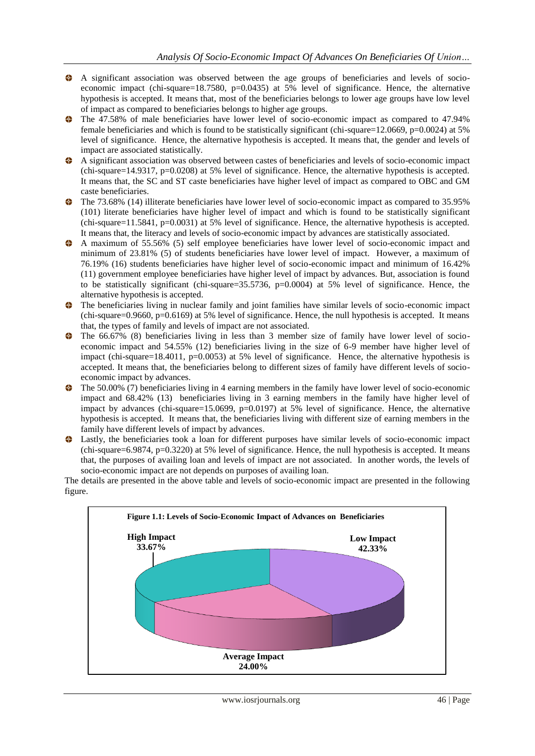- A significant association was observed between the age groups of beneficiaries and levels of socioeconomic impact (chi-square=18.7580,  $p=0.0435$ ) at 5% level of significance. Hence, the alternative hypothesis is accepted. It means that, most of the beneficiaries belongs to lower age groups have low level of impact as compared to beneficiaries belongs to higher age groups.
- The 47.58% of male beneficiaries have lower level of socio-economic impact as compared to 47.94% female beneficiaries and which is found to be statistically significant (chi-square=12.0669, p=0.0024) at 5% level of significance. Hence, the alternative hypothesis is accepted. It means that, the gender and levels of impact are associated statistically.
- A significant association was observed between castes of beneficiaries and levels of socio-economic impact (chi-square=14.9317, p=0.0208) at 5% level of significance. Hence, the alternative hypothesis is accepted. It means that, the SC and ST caste beneficiaries have higher level of impact as compared to OBC and GM caste beneficiaries.
- The 73.68% (14) illiterate beneficiaries have lower level of socio-economic impact as compared to 35.95% (101) literate beneficiaries have higher level of impact and which is found to be statistically significant (chi-square=11.5841, p=0.0031) at  $\overline{5\%}$  level of significance. Hence, the alternative hypothesis is accepted. It means that, the literacy and levels of socio-economic impact by advances are statistically associated.
- A maximum of 55.56% (5) self employee beneficiaries have lower level of socio-economic impact and minimum of 23.81% (5) of students beneficiaries have lower level of impact. However, a maximum of 76.19% (16) students beneficiaries have higher level of socio-economic impact and minimum of 16.42% (11) government employee beneficiaries have higher level of impact by advances. But, association is found to be statistically significant (chi-square=35.5736, p=0.0004) at 5% level of significance. Hence, the alternative hypothesis is accepted.
- The beneficiaries living in nuclear family and joint families have similar levels of socio-economic impact (chi-square=0.9660, p=0.6169) at 5% level of significance. Hence, the null hypothesis is accepted. It means that, the types of family and levels of impact are not associated.
- The 66.67% (8) beneficiaries living in less than 3 member size of family have lower level of socioeconomic impact and 54.55% (12) beneficiaries living in the size of 6-9 member have higher level of impact (chi-square=18.4011, p=0.0053) at 5% level of significance. Hence, the alternative hypothesis is accepted. It means that, the beneficiaries belong to different sizes of family have different levels of socioeconomic impact by advances.
- $\bullet$  The 50.00% (7) beneficiaries living in 4 earning members in the family have lower level of socio-economic impact and 68.42% (13) beneficiaries living in 3 earning members in the family have higher level of impact by advances (chi-square=15.0699,  $p=0.0197$ ) at 5% level of significance. Hence, the alternative hypothesis is accepted. It means that, the beneficiaries living with different size of earning members in the family have different levels of impact by advances.
- Lastly, the beneficiaries took a loan for different purposes have similar levels of socio-economic impact (chi-square=6.9874, p=0.3220) at 5% level of significance. Hence, the null hypothesis is accepted. It means that, the purposes of availing loan and levels of impact are not associated. In another words, the levels of socio-economic impact are not depends on purposes of availing loan.

The details are presented in the above table and levels of socio-economic impact are presented in the following figure.

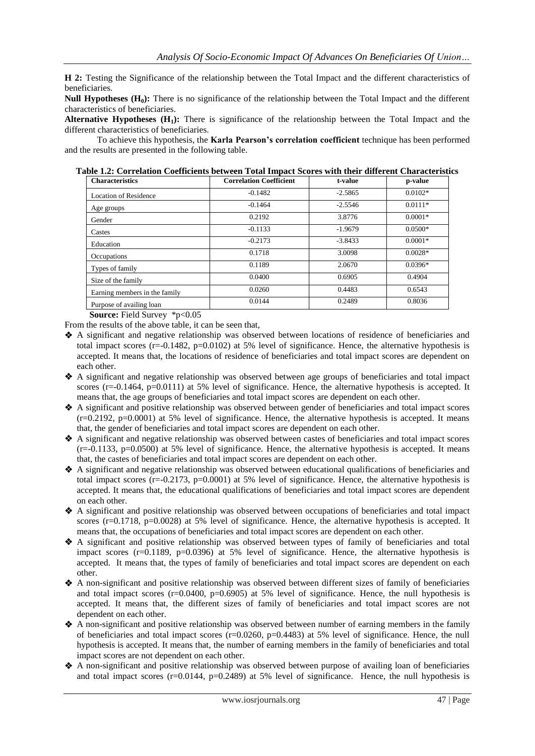**H 2:** Testing the Significance of the relationship between the Total Impact and the different characteristics of beneficiaries.

**Null Hypotheses (H0):** There is no significance of the relationship between the Total Impact and the different characteristics of beneficiaries.

**Alternative Hypotheses (H1):** There is significance of the relationship between the Total Impact and the different characteristics of beneficiaries.

To achieve this hypothesis, the **Karla Pearson's correlation coefficient** technique has been performed and the results are presented in the following table.

| <b>Characteristics</b>        | <b>Correlation Coefficient</b> | t-value   | p-value   |
|-------------------------------|--------------------------------|-----------|-----------|
| <b>Location of Residence</b>  | $-0.1482$                      | $-2.5865$ | $0.0102*$ |
| Age groups                    | $-0.1464$                      | $-2.5546$ | $0.0111*$ |
| Gender                        | 0.2192                         | 3.8776    | $0.0001*$ |
| Castes                        | $-0.1133$                      | $-1.9679$ | $0.0500*$ |
| Education                     | $-0.2173$                      | $-3.8433$ | $0.0001*$ |
| Occupations                   | 0.1718                         | 3.0098    | $0.0028*$ |
| Types of family               | 0.1189                         | 2.0670    | $0.0396*$ |
| Size of the family            | 0.0400                         | 0.6905    | 0.4904    |
| Earning members in the family | 0.0260                         | 0.4483    | 0.6543    |
| Purpose of availing loan      | 0.0144                         | 0.2489    | 0.8036    |

**Table 1.2: Correlation Coefficients between Total Impact Scores with their different Characteristics**

**Source:** Field Survey \*p<0.05

From the results of the above table, it can be seen that,

- A significant and negative relationship was observed between locations of residence of beneficiaries and total impact scores (r=-0.1482, p=0.0102) at 5% level of significance. Hence, the alternative hypothesis is accepted. It means that, the locations of residence of beneficiaries and total impact scores are dependent on each other.
- A significant and negative relationship was observed between age groups of beneficiaries and total impact scores  $(r=-0.1464, p=0.0111)$  at 5% level of significance. Hence, the alternative hypothesis is accepted. It means that, the age groups of beneficiaries and total impact scores are dependent on each other.
- A significant and positive relationship was observed between gender of beneficiaries and total impact scores  $(r=0.2192, p=0.0001)$  at 5% level of significance. Hence, the alternative hypothesis is accepted. It means that, the gender of beneficiaries and total impact scores are dependent on each other.
- A significant and negative relationship was observed between castes of beneficiaries and total impact scores  $(r=-0.1133, p=0.0500)$  at 5% level of significance. Hence, the alternative hypothesis is accepted. It means that, the castes of beneficiaries and total impact scores are dependent on each other.
- A significant and negative relationship was observed between educational qualifications of beneficiaries and total impact scores  $(r=-0.2173, p=0.0001)$  at 5% level of significance. Hence, the alternative hypothesis is accepted. It means that, the educational qualifications of beneficiaries and total impact scores are dependent on each other.
- A significant and positive relationship was observed between occupations of beneficiaries and total impact scores  $(r=0.1718, p=0.0028)$  at 5% level of significance. Hence, the alternative hypothesis is accepted. It means that, the occupations of beneficiaries and total impact scores are dependent on each other.
- A significant and positive relationship was observed between types of family of beneficiaries and total impact scores (r=0.1189, p=0.0396) at 5% level of significance. Hence, the alternative hypothesis is accepted. It means that, the types of family of beneficiaries and total impact scores are dependent on each other.
- A non-significant and positive relationship was observed between different sizes of family of beneficiaries and total impact scores  $(r=0.0400, p=0.6905)$  at 5% level of significance. Hence, the null hypothesis is accepted. It means that, the different sizes of family of beneficiaries and total impact scores are not dependent on each other.
- A non-significant and positive relationship was observed between number of earning members in the family of beneficiaries and total impact scores  $(r=0.0260, p=0.4483)$  at 5% level of significance. Hence, the null hypothesis is accepted. It means that, the number of earning members in the family of beneficiaries and total impact scores are not dependent on each other.
- A non-significant and positive relationship was observed between purpose of availing loan of beneficiaries and total impact scores (r=0.0144, p=0.2489) at 5% level of significance. Hence, the null hypothesis is